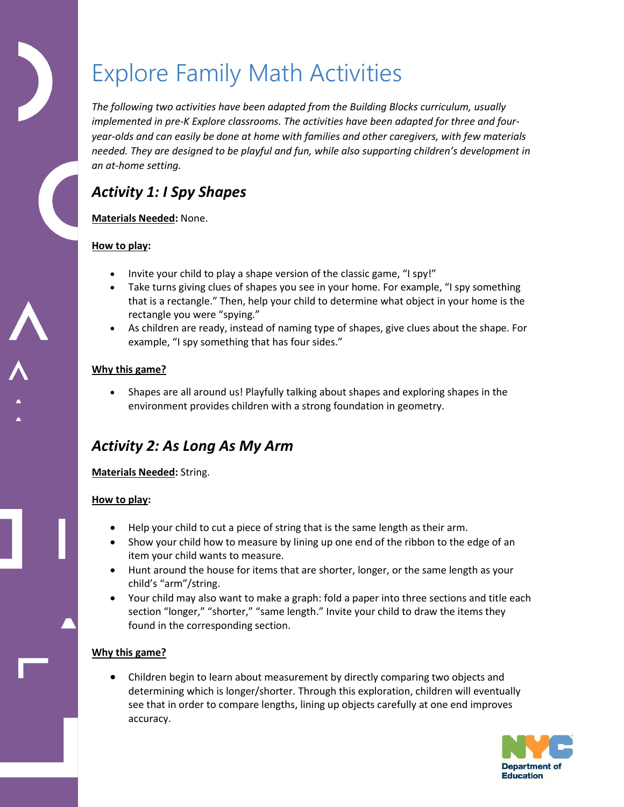# Explore Family Math Activities

*The following two activities have been adapted from the Building Blocks curriculum, usually implemented in pre-K Explore classrooms. The activities have been adapted for three and fouryear-olds and can easily be done at home with families and other caregivers, with few materials needed. They are designed to be playful and fun, while also supporting children's development in an at-home setting.* 

## *Activity 1: I Spy Shapes*

#### **Materials Needed:** None.

#### **How to play:**

- Invite your child to play a shape version of the classic game, "I spy!"
- Take turns giving clues of shapes you see in your home. For example, "I spy something that is a rectangle." Then, help your child to determine what object in your home is the rectangle you were "spying."
- As children are ready, instead of naming type of shapes, give clues about the shape. For example, "I spy something that has four sides."

#### **Why this game?**

 Shapes are all around us! Playfully talking about shapes and exploring shapes in the environment provides children with a strong foundation in geometry.

### *Activity 2: As Long As My Arm*

#### **Materials Needed:** String.

#### **How to play:**

- Help your child to cut a piece of string that is the same length as their arm.
- Show your child how to measure by lining up one end of the ribbon to the edge of an item your child wants to measure.
- Hunt around the house for items that are shorter, longer, or the same length as your child's "arm"/string.
- Your child may also want to make a graph: fold a paper into three sections and title each section "longer," "shorter," "same length." Invite your child to draw the items they found in the corresponding section.

#### **Why this game?**

 Children begin to learn about measurement by directly comparing two objects and determining which is longer/shorter. Through this exploration, children will eventually see that in order to compare lengths, lining up objects carefully at one end improves accuracy.